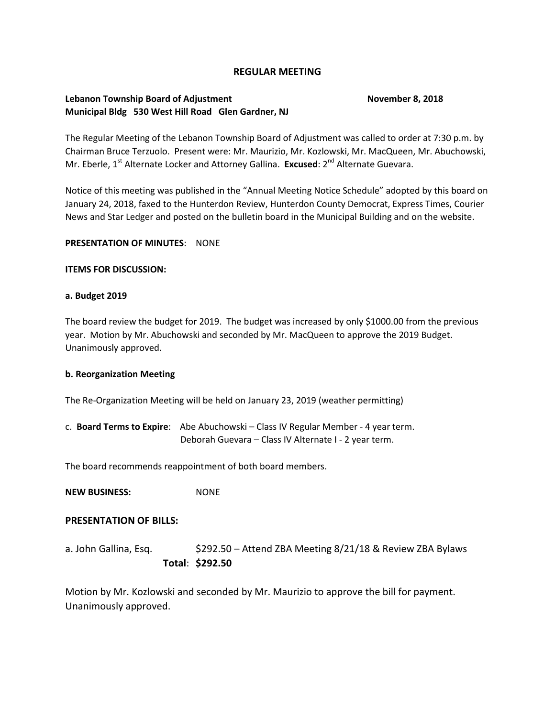## **REGULAR MEETING**

# **Lebanon Township Board of Adjustment November 8, 2018 Municipal Bldg 530 West Hill Road Glen Gardner, NJ**

The Regular Meeting of the Lebanon Township Board of Adjustment was called to order at 7:30 p.m. by Chairman Bruce Terzuolo. Present were: Mr. Maurizio, Mr. Kozlowski, Mr. MacQueen, Mr. Abuchowski, Mr. Eberle, 1<sup>st</sup> Alternate Locker and Attorney Gallina. **Excused**: 2<sup>nd</sup> Alternate Guevara.

Notice of this meeting was published in the "Annual Meeting Notice Schedule" adopted by this board on January 24, 2018, faxed to the Hunterdon Review, Hunterdon County Democrat, Express Times, Courier News and Star Ledger and posted on the bulletin board in the Municipal Building and on the website.

#### **PRESENTATION OF MINUTES**: NONE

#### **ITEMS FOR DISCUSSION:**

#### **a. Budget 2019**

The board review the budget for 2019. The budget was increased by only \$1000.00 from the previous year. Motion by Mr. Abuchowski and seconded by Mr. MacQueen to approve the 2019 Budget. Unanimously approved.

## **b. Reorganization Meeting**

The Re-Organization Meeting will be held on January 23, 2019 (weather permitting)

c. **Board Terms to Expire**: Abe Abuchowski – Class IV Regular Member - 4 year term. Deborah Guevara – Class IV Alternate I - 2 year term.

The board recommends reappointment of both board members.

**NEW BUSINESS:** NONE

## **PRESENTATION OF BILLS:**

a. John Gallina, Esq. **\$292.50 – Attend ZBA Meeting 8/21/18 & Review ZBA Bylaws Total**: **\$292.50**

Motion by Mr. Kozlowski and seconded by Mr. Maurizio to approve the bill for payment. Unanimously approved.